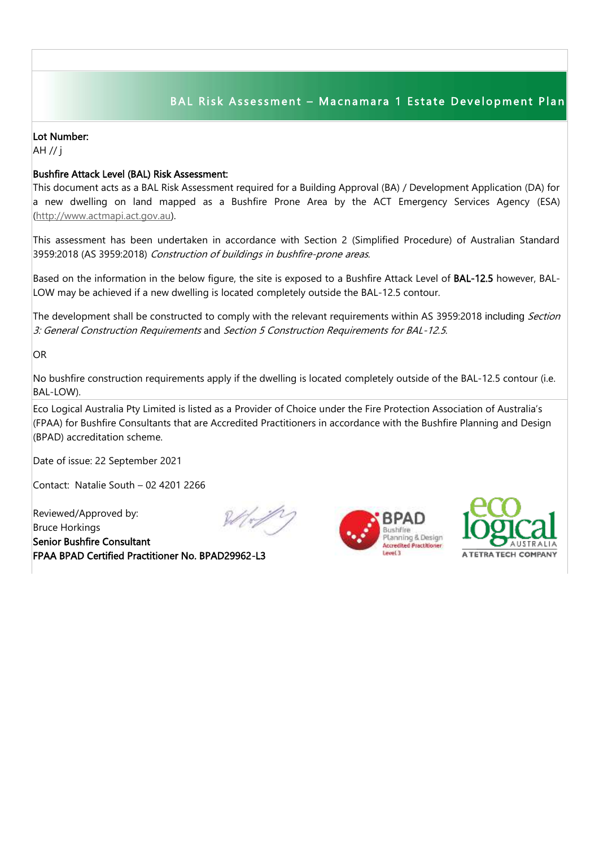## BAL Risk Assessment - Macnamara 1 Estate Development Plan

## Lot Number:

AH // j

## Bushfire Attack Level (BAL) Risk Assessment:

This document acts as a BAL Risk Assessment required for a Building Approval (BA) / Development Application (DA) for a new dwelling on land mapped as a Bushfire Prone Area by the ACT Emergency Services Agency (ESA) [\(http://www.actmapi.act.gov.au\)](http://www.actmapi.act.gov.au/).

This assessment has been undertaken in accordance with Section 2 (Simplified Procedure) of Australian Standard 3959:2018 (AS 3959:2018) Construction of buildings in bushfire-prone areas.

Based on the information in the below figure, the site is exposed to a Bushfire Attack Level of BAL-12.5 however, BAL-LOW may be achieved if a new dwelling is located completely outside the BAL-12.5 contour.

The development shall be constructed to comply with the relevant requirements within AS 3959:2018 including Section 3: General Construction Requirements and Section 5 Construction Requirements for BAL-12.5.

OR

No bushfire construction requirements apply if the dwelling is located completely outside of the BAL-12.5 contour (i.e. BAL-LOW).

Eco Logical Australia Pty Limited is listed as a Provider of Choice under the Fire Protection Association of Australia's (FPAA) for Bushfire Consultants that are Accredited Practitioners in accordance with the Bushfire Planning and Design (BPAD) accreditation scheme.

Date of issue: 22 September 2021

Contact: Natalie South – 02 4201 2266

Reviewed/Approved by: Bruce Horkings Senior Bushfire Consultant FPAA BPAD Certified Practitioner No. BPAD29962-L3







I